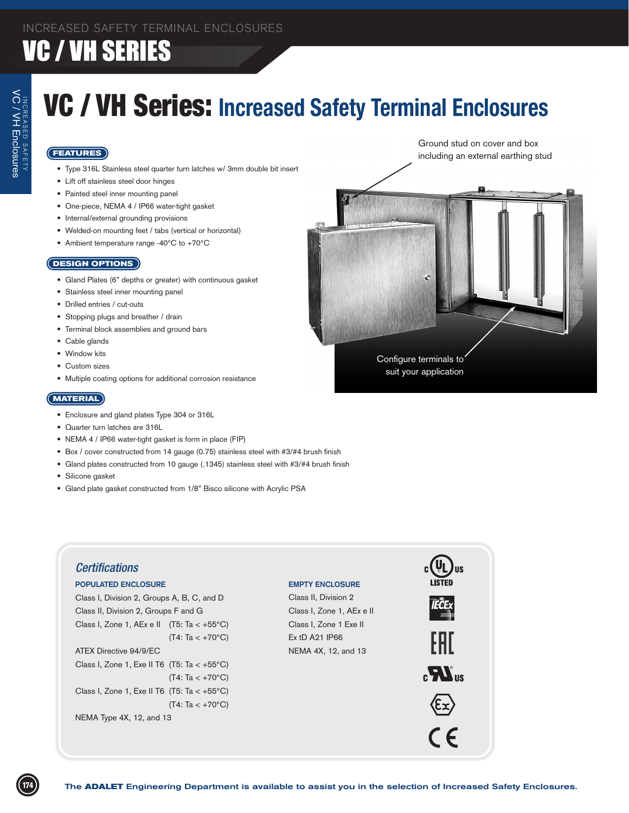## VC / VH Series: **Increased Safety Terminal Enclosures**

### **FEATURES**

- Type 316L Stainless steel quarter turn latches w/ 3mm double bit insert
- • Lift off stainless steel door hinges
- Painted steel inner mounting panel
- One-piece, NEMA 4 / IP66 water-tight gasket
- • Internal/external grounding provisions
- • Welded-on mounting feet / tabs (vertical or horizontal)
- Ambient temperature range -40°C to +70°C

#### **DESIGN OPTIONS**

- Gland Plates (6" depths or greater) with continuous gasket
- • Stainless steel inner mounting panel
- • Drilled entries / cut-outs
- • Stopping plugs and breather / drain
- Terminal block assemblies and ground bars
- Cable glands
- Window kits
- Custom sizes
- • Multiple coating options for additional corrosion resistance

### **MATERIAL**

- Enclosure and gland plates Type 304 or 316L
- • Quarter turn latches are 316L
- NEMA 4 / IP66 water-tight gasket is form in place (FIP)
- Box / cover constructed from 14 gauge (0.75) stainless steel with #3/#4 brush finish
- Gland plates constructed from 10 gauge (.1345) stainless steel with #3/#4 brush finish
- • Silicone gasket
- Gland plate gasket constructed from 1/8" Bisco silicone with Acrylic PSA



Ground stud on cover and box including an external earthing stud

Configure terminals to suit your application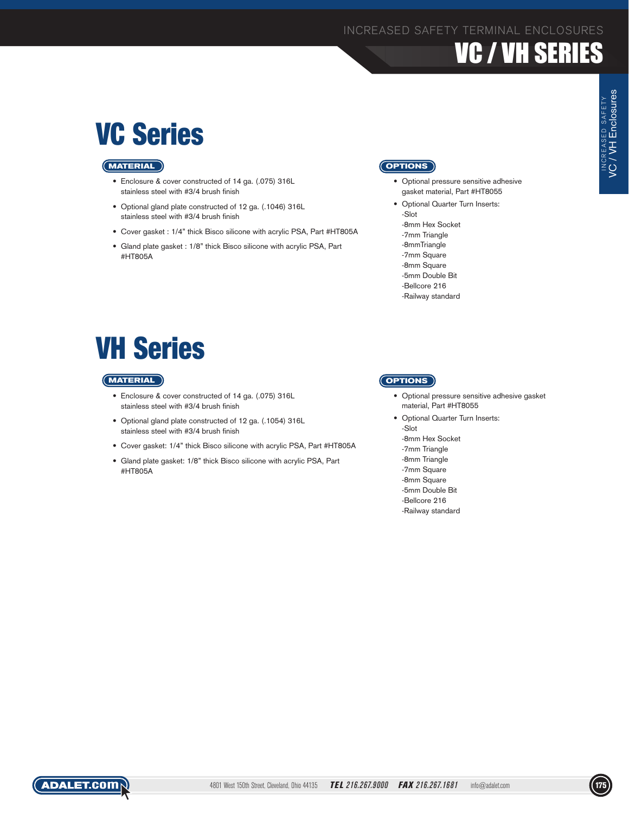## VC Series

### **MATERIAL**

- Enclosure & cover constructed of 14 ga. (.075) 316L stainless steel with #3/4 brush finish
- Optional gland plate constructed of 12 ga. (.1046) 316L stainless steel with #3/4 brush finish
- Cover gasket : 1/4" thick Bisco silicone with acrylic PSA, Part #HT805A
- • Gland plate gasket : 1/8" thick Bisco silicone with acrylic PSA, Part #HT805A

### **OPTIONS**

- Optional pressure sensitive adhesive gasket material, Part #HT8055
- Optional Quarter Turn Inserts: -Slot -8mm Hex Socket -7mm Triangle -8mmTriangle -7mm Square -8mm Square
	- -5mm Double Bit
	- -Bellcore 216
	- -Railway standard

## VH Series

### **MATERIAL**

- Enclosure & cover constructed of 14 ga. (.075) 316L stainless steel with #3/4 brush finish
- Optional gland plate constructed of 12 ga. (.1054) 316L stainless steel with #3/4 brush finish
- • Cover gasket: 1/4" thick Bisco silicone with acrylic PSA, Part #HT805A
- • Gland plate gasket: 1/8" thick Bisco silicone with acrylic PSA, Part #HT805A

### **OPTIONS**

- Optional pressure sensitive adhesive gasket material, Part #HT8055
- Optional Quarter Turn Inserts: -Slot -8mm Hex Socket -7mm Triangle
	- -8mm Triangle
	- -7mm Square
	- -8mm Square
	- -5mm Double Bit -Bellcore 216
	- -Railway standard



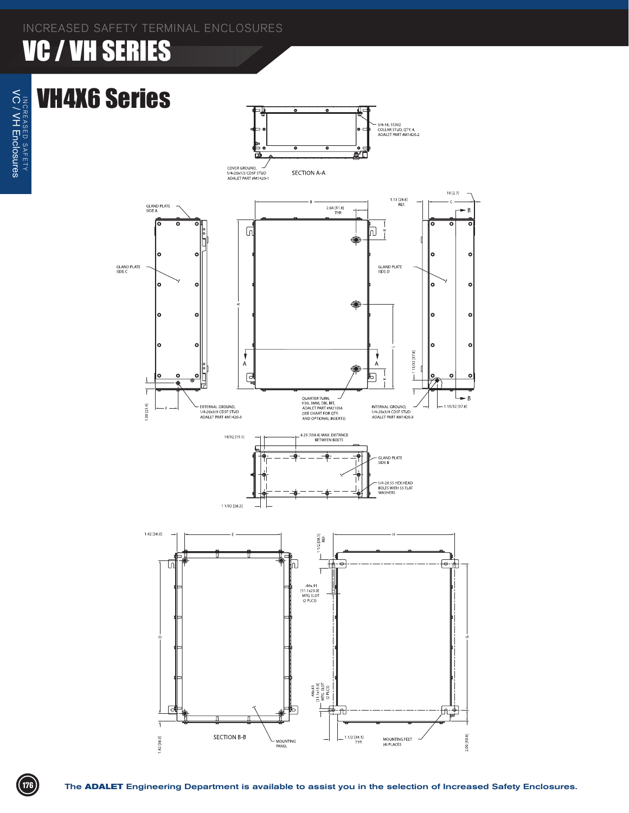### VH4X6 Series



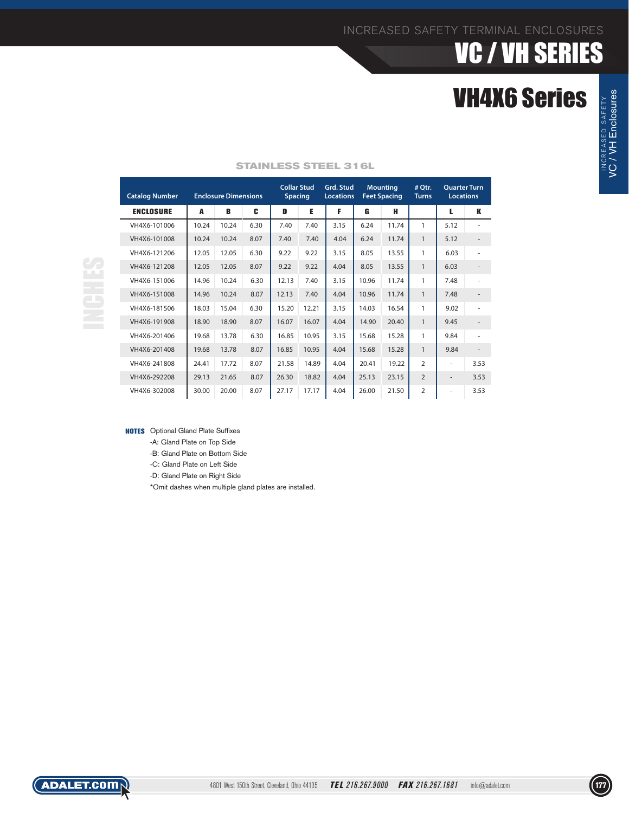INCREASED SAFETY VC / VH Enclosures

INCREASED SAFETY<br>**VC / VH Enclosures** 

| <b>Catalog Number</b> | <b>Enclosure Dimensions</b> |       |      | <b>Collar Stud</b><br><b>Spacing</b> |       | Grd. Stud<br><b>Locations</b> | <b>Mounting</b><br><b>Feet Spacing</b> |       | # Qtr.<br><b>Turns</b> | <b>Ouarter Turn</b><br><b>Locations</b> |      |
|-----------------------|-----------------------------|-------|------|--------------------------------------|-------|-------------------------------|----------------------------------------|-------|------------------------|-----------------------------------------|------|
| <b>ENCLOSURE</b>      | A                           | B     | C    | D                                    | Е     | F                             | G                                      | н     |                        | L                                       | К    |
| VH4X6-101006          | 10.24                       | 10.24 | 6.30 | 7.40                                 | 7.40  | 3.15                          | 6.24                                   | 11.74 | 1                      | 5.12                                    |      |
| VH4X6-101008          | 10.24                       | 10.24 | 8.07 | 7.40                                 | 7.40  | 4.04                          | 6.24                                   | 11.74 | $\mathbf{1}$           | 5.12                                    |      |
| VH4X6-121206          | 12.05                       | 12.05 | 6.30 | 9.22                                 | 9.22  | 3.15                          | 8.05                                   | 13.55 | $\mathbf{1}$           | 6.03                                    |      |
| VH4X6-121208          | 12.05                       | 12.05 | 8.07 | 9.22                                 | 9.22  | 4.04                          | 8.05                                   | 13.55 | $\mathbf{1}$           | 6.03                                    |      |
| VH4X6-151006          | 14.96                       | 10.24 | 6.30 | 12.13                                | 7.40  | 3.15                          | 10.96                                  | 11.74 | $\mathbf{1}$           | 7.48                                    | ٠    |
| VH4X6-151008          | 14.96                       | 10.24 | 8.07 | 12.13                                | 7.40  | 4.04                          | 10.96                                  | 11.74 | $\mathbf{1}$           | 7.48                                    |      |
| VH4X6-181506          | 18.03                       | 15.04 | 6.30 | 15.20                                | 12.21 | 3.15                          | 14.03                                  | 16.54 | 1                      | 9.02                                    |      |
| VH4X6-191908          | 18.90                       | 18.90 | 8.07 | 16.07                                | 16.07 | 4.04                          | 14.90                                  | 20.40 | $\mathbf{1}$           | 9.45                                    |      |
| VH4X6-201406          | 19.68                       | 13.78 | 6.30 | 16.85                                | 10.95 | 3.15                          | 15.68                                  | 15.28 | 1                      | 9.84                                    |      |
| VH4X6-201408          | 19.68                       | 13.78 | 8.07 | 16.85                                | 10.95 | 4.04                          | 15.68                                  | 15.28 | $\mathbf{1}$           | 9.84                                    |      |
| VH4X6-241808          | 24.41                       | 17.72 | 8.07 | 21.58                                | 14.89 | 4.04                          | 20.41                                  | 19.22 | $\overline{2}$         | ۰                                       | 3.53 |
| VH4X6-292208          | 29.13                       | 21.65 | 8.07 | 26.30                                | 18.82 | 4.04                          | 25.13                                  | 23.15 | $\overline{2}$         | $\overline{\phantom{a}}$                | 3.53 |
| VH4X6-302008          | 30.00                       | 20.00 | 8.07 | 27.17                                | 17.17 | 4.04                          | 26.00                                  | 21.50 | $\overline{2}$         | ۰                                       | 3.53 |

#### **STAINLESS STEEL 316L**

**NOTES** Optional Gland Plate Suffixes

-A: Gland Plate on Top Side

-B: Gland Plate on Bottom Side

-C: Gland Plate on Left Side

-D: Gland Plate on Right Side

\*Omit dashes when multiple gland plates are installed.

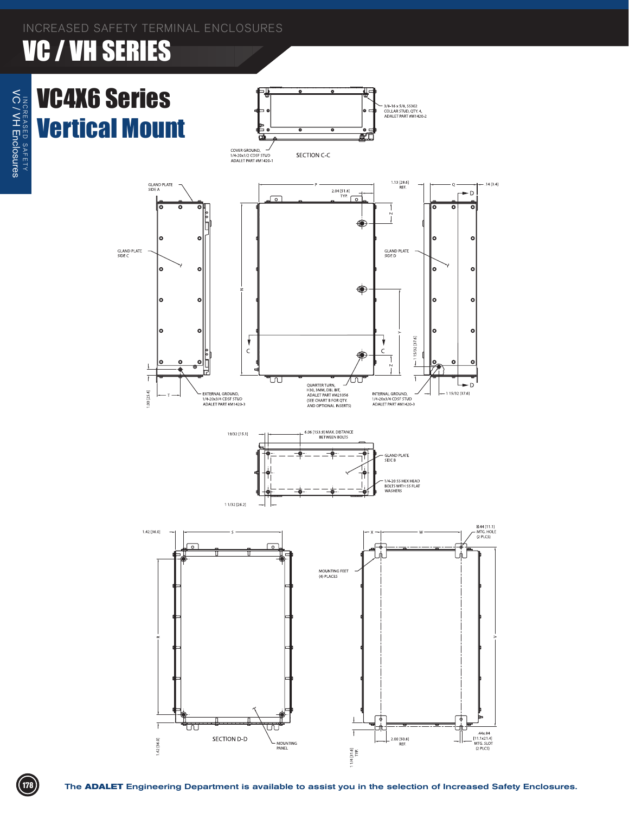## VC4X6 Series Vertical Mount









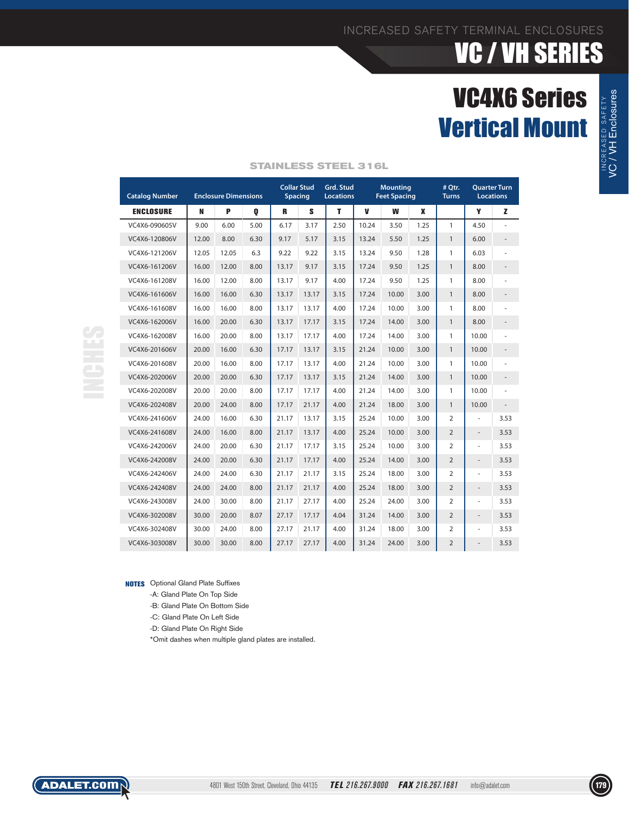## VC4X6 Series Vertical Mount

| <b>ENCLOSURE</b><br>VC4X6-090605V<br>VC4X6-120806V<br>VC4X6-121206V<br>VC4X6-161206V<br>VC4X6-161208V<br>VC4X6-161606V<br>VC4X6-161608V<br>VC4X6-162006V                                                                               | N<br>9.00<br>12.00<br>12.05<br>16.00<br>16.00 | P<br>6.00<br>8.00<br>12.05 | Q<br>5.00<br>6.30 | R<br>6.17 | s<br>3.17 | т<br>2.50 | V     | W     | X    |                | Y                        | z                        |  |
|----------------------------------------------------------------------------------------------------------------------------------------------------------------------------------------------------------------------------------------|-----------------------------------------------|----------------------------|-------------------|-----------|-----------|-----------|-------|-------|------|----------------|--------------------------|--------------------------|--|
|                                                                                                                                                                                                                                        |                                               |                            |                   |           |           |           |       |       |      |                |                          |                          |  |
|                                                                                                                                                                                                                                        |                                               |                            |                   |           |           |           | 10.24 | 3.50  | 1.25 | $\mathbf{1}$   | 4.50                     |                          |  |
|                                                                                                                                                                                                                                        |                                               |                            |                   | 9.17      | 5.17      | 3.15      | 13.24 | 5.50  | 1.25 | $\mathbf{1}$   | 6.00                     | $\overline{\phantom{a}}$ |  |
|                                                                                                                                                                                                                                        |                                               |                            | 6.3               | 9.22      | 9.22      | 3.15      | 13.24 | 9.50  | 1.28 | $\mathbf{1}$   | 6.03                     | ÷.                       |  |
|                                                                                                                                                                                                                                        |                                               | 12.00                      | 8.00              | 13.17     | 9.17      | 3.15      | 17.24 | 9.50  | 1.25 | $\mathbf{1}$   | 8.00                     | $\overline{\phantom{a}}$ |  |
|                                                                                                                                                                                                                                        |                                               | 12.00                      | 8.00              | 13.17     | 9.17      | 4.00      | 17.24 | 9.50  | 1.25 | $\mathbf{1}$   | 8.00                     |                          |  |
|                                                                                                                                                                                                                                        | 16.00                                         | 16.00                      | 6.30              | 13.17     | 13.17     | 3.15      | 17.24 | 10.00 | 3.00 | $\mathbf{1}$   | 8.00                     | $\overline{\phantom{a}}$ |  |
|                                                                                                                                                                                                                                        | 16.00                                         | 16.00                      | 8.00              | 13.17     | 13.17     | 4.00      | 17.24 | 10.00 | 3.00 | $\mathbf{1}$   | 8.00                     |                          |  |
|                                                                                                                                                                                                                                        | 16.00                                         | 20.00                      | 6.30              | 13.17     | 17.17     | 3.15      | 17.24 | 14.00 | 3.00 | $\mathbf{1}$   | 8.00                     | $\overline{\phantom{a}}$ |  |
| VC4X6-162008V                                                                                                                                                                                                                          | 16.00                                         | 20.00                      | 8.00              | 13.17     | 17.17     | 4.00      | 17.24 | 14.00 | 3.00 | $\mathbf{1}$   | 10.00                    | ÷,                       |  |
| VC4X6-201606V                                                                                                                                                                                                                          | 20.00                                         | 16.00                      | 6.30              | 17.17     | 13.17     | 3.15      | 21.24 | 10.00 | 3.00 | $\mathbf{1}$   | 10.00                    | $\overline{\phantom{a}}$ |  |
| VC4X6-201608V                                                                                                                                                                                                                          | 20.00                                         | 16.00                      | 8.00              | 17.17     | 13.17     | 4.00      | 21.24 | 10.00 | 3.00 | $\mathbf{1}$   | 10.00                    |                          |  |
| VC4X6-202006V                                                                                                                                                                                                                          | 20.00                                         | 20.00                      | 6.30              | 17.17     | 13.17     | 3.15      | 21.24 | 14.00 | 3.00 | $\mathbf{1}$   | 10.00                    | $\centerdot$             |  |
| VC4X6-202008V                                                                                                                                                                                                                          | 20.00                                         | 20.00                      | 8.00              | 17.17     | 17.17     | 4.00      | 21.24 | 14.00 | 3.00 | $\mathbf{1}$   | 10.00                    | $\overline{\phantom{a}}$ |  |
| VC4X6-202408V                                                                                                                                                                                                                          | 20.00                                         | 24.00                      | 8.00              | 17.17     | 21.17     | 4.00      | 21.24 | 18.00 | 3.00 | $\mathbf{1}$   | 10.00                    | $\overline{\phantom{a}}$ |  |
| VC4X6-241606V                                                                                                                                                                                                                          | 24.00                                         | 16.00                      | 6.30              | 21.17     | 13.17     | 3.15      | 25.24 | 10.00 | 3.00 | $\overline{2}$ | ÷,                       | 3.53                     |  |
| VC4X6-241608V                                                                                                                                                                                                                          | 24.00                                         | 16.00                      | 8.00              | 21.17     | 13.17     | 4.00      | 25.24 | 10.00 | 3.00 | $\overline{2}$ | $\overline{\phantom{a}}$ | 3.53                     |  |
| VC4X6-242006V                                                                                                                                                                                                                          | 24.00                                         | 20.00                      | 6.30              | 21.17     | 17.17     | 3.15      | 25.24 | 10.00 | 3.00 | $\overline{2}$ | ÷,                       | 3.53                     |  |
| VC4X6-242008V                                                                                                                                                                                                                          | 24.00                                         | 20.00                      | 6.30              | 21.17     | 17.17     | 4.00      | 25.24 | 14.00 | 3.00 | $\overline{2}$ | $\frac{1}{2}$            | 3.53                     |  |
| VC4X6-242406V                                                                                                                                                                                                                          | 24.00                                         | 24.00                      | 6.30              | 21.17     | 21.17     | 3.15      | 25.24 | 18.00 | 3.00 | $\overline{2}$ | ÷,                       | 3.53                     |  |
| VC4X6-242408V                                                                                                                                                                                                                          | 24.00                                         | 24.00                      | 8.00              | 21.17     | 21.17     | 4.00      | 25.24 | 18.00 | 3.00 | $\overline{2}$ | $\overline{\phantom{a}}$ | 3.53                     |  |
| VC4X6-243008V                                                                                                                                                                                                                          | 24.00                                         | 30.00                      | 8.00              | 21.17     | 27.17     | 4.00      | 25.24 | 24.00 | 3.00 | $\overline{2}$ | ÷,                       | 3.53                     |  |
| VC4X6-302008V                                                                                                                                                                                                                          | 30.00                                         | 20.00                      | 8.07              | 27.17     | 17.17     | 4.04      | 31.24 | 14.00 | 3.00 | $\overline{2}$ | $\frac{1}{2}$            | 3.53                     |  |
| VC4X6-302408V                                                                                                                                                                                                                          | 30.00                                         | 24.00                      | 8.00              | 27.17     | 21.17     | 4.00      | 31.24 | 18.00 | 3.00 | $\overline{2}$ | ÷,                       | 3.53                     |  |
| VC4X6-303008V                                                                                                                                                                                                                          | 30.00                                         | 30.00                      | 8.00              | 27.17     | 27.17     | 4.00      | 31.24 | 24.00 | 3.00 | $\overline{2}$ |                          | 3.53                     |  |
| <b>NOTES</b> Optional Gland Plate Suffixes<br>-A: Gland Plate On Top Side<br>-B: Gland Plate On Bottom Side<br>-C: Gland Plate On Left Side<br>-D: Gland Plate On Right Side<br>*Omit dashes when multiple gland plates are installed. |                                               |                            |                   |           |           |           |       |       |      |                |                          |                          |  |

#### **STAINLESS STEEL 316L**



VC / VH Enclosures

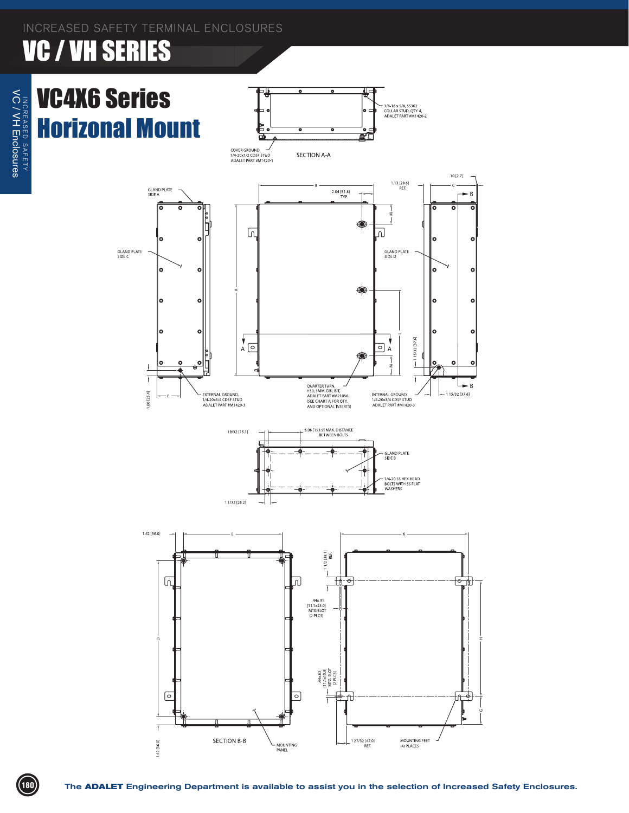

The **ADALET** Engineering Department is available to assist you in the selection of Increased Safety Enclosures.